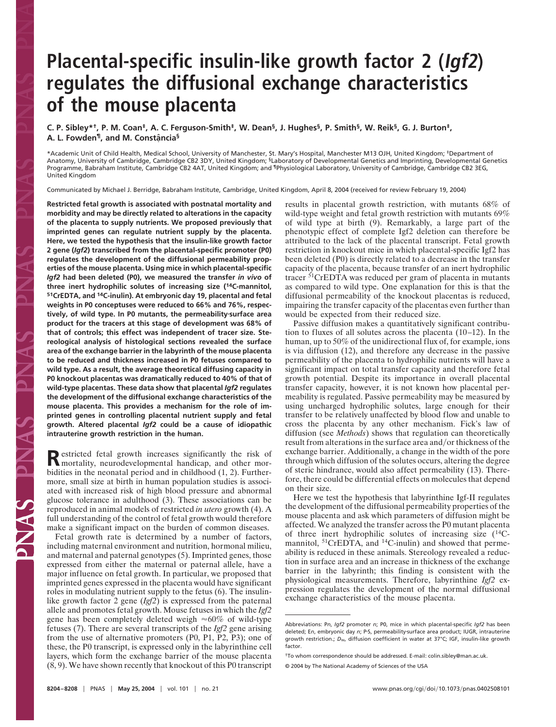## **Placental-specific insulin-like growth factor 2 (Igf2) regulates the diffusional exchange characteristics of the mouse placenta**

**C. P. Sibley\*†, P. M. Coan‡, A. C. Ferguson-Smith‡, W. Dean§, J. Hughes§, P. Smith§, W. Reik§, G. J. Burton‡,** A. L. Fowden<sup>¶</sup>, and M. Constância<sup>§</sup>

\*Academic Unit of Child Health, Medical School, University of Manchester, St. Mary's Hospital, Manchester M13 OJH, United Kingdom; ‡Department of Anatomy, University of Cambridge, Cambridge CB2 3DY, United Kingdom; <sup>§</sup>Laboratory of Developmental Genetics and Imprinting, Developmental Genetics Programme, Babraham Institute, Cambridge CB2 4AT, United Kingdom; and ¶Physiological Laboratory, University of Cambridge, Cambridge CB2 3EG, United Kingdom

Communicated by Michael J. Berridge, Babraham Institute, Cambridge, United Kingdom, April 8, 2004 (received for review February 19, 2004)

**Restricted fetal growth is associated with postnatal mortality and morbidity and may be directly related to alterations in the capacity of the placenta to supply nutrients. We proposed previously that imprinted genes can regulate nutrient supply by the placenta. Here, we tested the hypothesis that the insulin-like growth factor 2 gene (***Igf2***) transcribed from the placental-specific promoter (P0) regulates the development of the diffusional permeability properties of the mouse placenta. Using mice in which placental-specific** *Igf2* **had been deleted (P0), we measured the transfer** *in vivo* **of three inert hydrophilic solutes of increasing size (14C-mannitol, 51CrEDTA, and 14C-inulin). At embryonic day 19, placental and fetal weights in P0 conceptuses were reduced to 66% and 76%, respectively, of wild type. In P0 mutants, the permeabilitysurface area product for the tracers at this stage of development was 68% of that of controls; this effect was independent of tracer size. Stereological analysis of histological sections revealed the surface area of the exchange barrier in the labyrinth of the mouse placenta to be reduced and thickness increased in P0 fetuses compared to wild type. As a result, the average theoretical diffusing capacity in P0 knockout placentas was dramatically reduced to 40% of that of wild-type placentas. These data show that placental** *Igf2* **regulates the development of the diffusional exchange characteristics of the mouse placenta. This provides a mechanism for the role of imprinted genes in controlling placental nutrient supply and fetal growth. Altered placental** *Igf2* **could be a cause of idiopathic intrauterine growth restriction in the human.**

Restricted fetal growth increases significantly the risk of Restricted fetal growth increases significantly the risk of bidities in the neonatal period and in childhood (1, 2). Furthermore, small size at birth in human population studies is associated with increased risk of high blood pressure and abnormal glucose tolerance in adulthood (3). These associations can be reproduced in animal models of restricted *in utero* growth (4). A full understanding of the control of fetal growth would therefore make a significant impact on the burden of common diseases.

Fetal growth rate is determined by a number of factors, including maternal environment and nutrition, hormonal milieu, and maternal and paternal genotypes (5). Imprinted genes, those expressed from either the maternal or paternal allele, have a major influence on fetal growth. In particular, we proposed that imprinted genes expressed in the placenta would have significant roles in modulating nutrient supply to the fetus (6). The insulinlike growth factor 2 gene (*Igf2*) is expressed from the paternal allele and promotes fetal growth. Mouse fetuses in which the *Igf2* gene has been completely deleted weigh  $\approx 60\%$  of wild-type fetuses (7). There are several transcripts of the *Igf2* gene arising from the use of alternative promoters (P0, P1, P2, P3); one of these, the P0 transcript, is expressed only in the labyrinthine cell layers, which form the exchange barrier of the mouse placenta (8, 9). We have shown recently that knockout of this P0 transcript

results in placental growth restriction, with mutants 68% of wild-type weight and fetal growth restriction with mutants 69% of wild type at birth (9). Remarkably, a large part of the phenotypic effect of complete Igf2 deletion can therefore be attributed to the lack of the placental transcript. Fetal growth restriction in knockout mice in which placental-specific Igf2 has been deleted (P0) is directly related to a decrease in the transfer capacity of the placenta, because transfer of an inert hydrophilic tracer 51CrEDTA was reduced per gram of placenta in mutants as compared to wild type. One explanation for this is that the diffusional permeability of the knockout placentas is reduced, impairing the transfer capacity of the placentas even further than would be expected from their reduced size.

Passive diffusion makes a quantitatively significant contribution to fluxes of all solutes across the placenta (10–12). In the human, up to 50% of the unidirectional flux of, for example, ions is via diffusion (12), and therefore any decrease in the passive permeability of the placenta to hydrophilic nutrients will have a significant impact on total transfer capacity and therefore fetal growth potential. Despite its importance in overall placental transfer capacity, however, it is not known how placental permeability is regulated. Passive permeability may be measured by using uncharged hydrophilic solutes, large enough for their transfer to be relatively unaffected by blood flow and unable to cross the placenta by any other mechanism. Fick's law of diffusion (see *Methods*) shows that regulation can theoretically result from alterations in the surface area and/or thickness of the exchange barrier. Additionally, a change in the width of the pore through which diffusion of the solutes occurs, altering the degree of steric hindrance, would also affect permeability (13). Therefore, there could be differential effects on molecules that depend on their size.

Here we test the hypothesis that labyrinthine Igf-II regulates the development of the diffusional permeability properties of the mouse placenta and ask which parameters of diffusion might be affected. We analyzed the transfer across the P0 mutant placenta of three inert hydrophilic solutes of increasing size  $(^{14}C$ mannitol, <sup>51</sup>CrEDTA, and <sup>14</sup>C-inulin) and showed that permeability is reduced in these animals. Stereology revealed a reduction in surface area and an increase in thickness of the exchange barrier in the labyrinth; this finding is consistent with the physiological measurements. Therefore, labyrinthine *Igf2* expression regulates the development of the normal diffusional exchange characteristics of the mouse placenta.

Abbreviations: P*n*, *Igf2* promoter *n*; P0, mice in which placental-specific *Igf2* has been deleted; E*n*, embryonic day *n*; PS, permeabilitysurface area product; IUGR, intrauterine growth restriction.; *D*w, diffusion coefficient in water at 37°C; IGF, insulin-like growth factor.

<sup>†</sup>To whom correspondence should be addressed. E-mail: colin.sibley@man.ac.uk.

<sup>© 2004</sup> by The National Academy of Sciences of the USA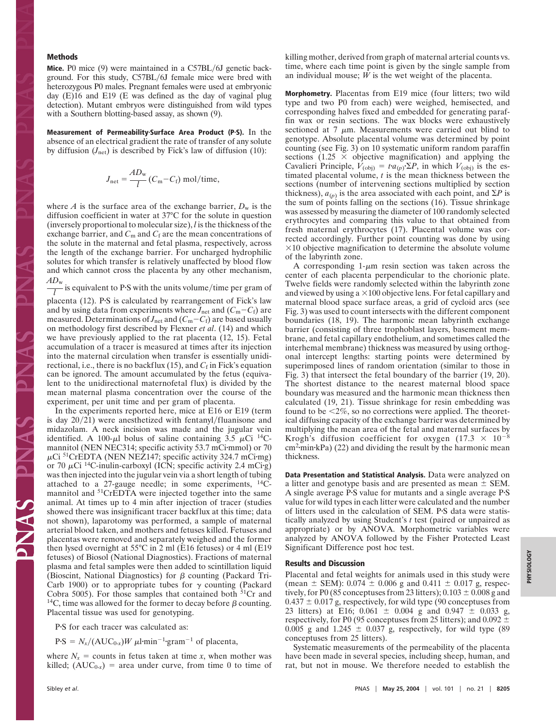## **Methods**

**Mice.** P0 mice (9) were maintained in a C57BL/6J genetic background. For this study, C57BL/6J female mice were bred with heterozygous P0 males. Pregnant females were used at embryonic day (E)16 and E19 (E was defined as the day of vaginal plug detection). Mutant embryos were distinguished from wild types with a Southern blotting-based assay, as shown (9).

**Measurement of PermeabilitySurface Area Product (PS).** In the absence of an electrical gradient the rate of transfer of any solute by diffusion  $(J_{\text{net}})$  is described by Fick's law of diffusion (10):

$$
J_{\text{net}} = \frac{AD_{\text{w}}}{l} (C_{\text{m}} - C_{\text{f}}) \text{ mol/time},
$$

where *A* is the surface area of the exchange barrier,  $D_w$  is the diffusion coefficient in water at 37°C for the solute in question (inversely proportional to molecular size), *l* is the thickness of the exchange barrier, and  $C_m$  and  $C_f$  are the mean concentrations of the solute in the maternal and fetal plasma, respectively, across the length of the exchange barrier. For uncharged hydrophilic solutes for which transfer is relatively unaffected by blood flow and which cannot cross the placenta by any other mechanism,

 $\frac{AD_{\text{w}}}{l}$  is equivalent to P·S with the units volume/time per gram of

placenta (12). PS is calculated by rearrangement of Fick's law and by using data from experiments where  $J_{\text{net}}$  and  $(C_{\text{m}}-C_{\text{f}})$  are measured. Determinations of  $J_{\text{net}}$  and  $(C_{\text{m}}-C_f)$  are based usually on methodology first described by Flexner *et al*. (14) and which we have previously applied to the rat placenta (12, 15). Fetal accumulation of a tracer is measured at times after its injection into the maternal circulation when transfer is essentially unidirectional, i.e., there is no backflux  $(15)$ , and  $C_f$  in Fick's equation can be ignored. The amount accumulated by the fetus (equivalent to the unidirectional maternofetal flux) is divided by the mean maternal plasma concentration over the course of the experiment, per unit time and per gram of placenta.

In the experiments reported here, mice at E16 or E19 (term is day  $20/21$ ) were anesthetized with fentanyl/fluanisone and midazolam. A neck incision was made and the jugular vein identified. A 100- $\mu$ l bolus of saline containing 3.5  $\mu$ Ci <sup>14</sup>Cmannitol (NEN NEC314; specific activity 53.7 mCi·mmol) or 70  $\mu$ Ci <sup>51</sup>CrEDTA (NEN NEZ147; specific activity 324.7 mCi·mg) or 70  $\mu$ Ci <sup>14</sup>C-inulin-carboxyl (ICN; specific activity 2.4 mCi·g) was then injected into the jugular vein via a short length of tubing attached to a 27-gauge needle; in some experiments, 14Cmannitol and 51CrEDTA were injected together into the same animal. At times up to 4 min after injection of tracer (studies showed there was insignificant tracer backflux at this time; data not shown), laparotomy was performed, a sample of maternal arterial blood taken, and mothers and fetuses killed. Fetuses and placentas were removed and separately weighed and the former then lysed overnight at 55°C in 2 ml (E16 fetuses) or 4 ml (E19 fetuses) of Biosol (National Diagnostics). Fractions of maternal plasma and fetal samples were then added to scintillation liquid (Bioscint, National Diagnostics) for  $\beta$  counting (Packard Tri-Carb 1900) or to appropriate tubes for  $\gamma$  counting (Packard Cobra 5005). For those samples that contained both  $51Cr$  and <sup>14</sup>C, time was allowed for the former to decay before  $\beta$  counting. Placental tissue was used for genotyping.

PS for each tracer was calculated as:

 $P-S = N_x/(AUC_{0-x})W \mu l \cdot min^{-1} \cdot gram^{-1}$  of placenta,

where  $N_x$  = counts in fetus taken at time *x*, when mother was killed;  $(AUC_{0-x})$  = area under curve, from time 0 to time of killing mother, derived from graph of maternal arterial counts vs. time, where each time point is given by the single sample from an individual mouse; *W* is the wet weight of the placenta.

**Morphometry.** Placentas from E19 mice (four litters; two wild type and two P0 from each) were weighed, hemisected, and corresponding halves fixed and embedded for generating paraffin wax or resin sections. The wax blocks were exhaustively sectioned at 7  $\mu$ m. Measurements were carried out blind to genotype. Absolute placental volume was determined by point counting (see Fig. 3) on 10 systematic uniform random paraffin sections  $(1.25 \times$  objective magnification) and applying the Cavalieri Principle,  $V_{\text{(obj)}} = t \cdot a_{(p)} \cdot \Sigma P$ , in which  $V_{\text{(obj)}}$  is the estimated placental volume, *t* is the mean thickness between the sections (number of intervening sections multiplied by section thickness),  $a_{(p)}$  is the area associated with each point, and  $\Sigma P$  is the sum of points falling on the sections (16). Tissue shrinkage was assessed by measuring the diameter of 100 randomly selected erythrocytes and comparing this value to that obtained from fresh maternal erythrocytes (17). Placental volume was corrected accordingly. Further point counting was done by using  $\times$ 10 objective magnification to determine the absolute volume of the labyrinth zone.

A corresponding  $1-\mu m$  resin section was taken across the center of each placenta perpendicular to the chorionic plate. Twelve fields were randomly selected within the labyrinth zone and viewed by using a  $\times$ 100 objective lens. For fetal capillary and maternal blood space surface areas, a grid of cycloid arcs (see Fig. 3) was used to count intersects with the different component boundaries (18, 19). The harmonic mean labyrinth exchange barrier (consisting of three trophoblast layers, basement membrane, and fetal capillary endothelium, and sometimes called the interhemal membrane) thickness was measured by using orthogonal intercept lengths: starting points were determined by superimposed lines of random orientation (similar to those in Fig. 3) that intersect the fetal boundary of the barrier (19, 20). The shortest distance to the nearest maternal blood space boundary was measured and the harmonic mean thickness then calculated (19, 21). Tissue shrinkage for resin embedding was found to be  $\leq 2\%$ , so no corrections were applied. The theoretical diffusing capacity of the exchange barrier was determined by multiplying the mean area of the fetal and maternal surfaces by Krogh's diffusion coefficient for oxygen (17.3  $\times$  10<sup>-8</sup>  $cm<sup>2</sup>·min·kPa$ ) (22) and dividing the result by the harmonic mean thickness.

**Data Presentation and Statistical Analysis.** Data were analyzed on a litter and genotype basis and are presented as mean  $\pm$  SEM. A single average PS value for mutants and a single average PS value for wild types in each litter were calculated and the number of litters used in the calculation of SEM. PS data were statistically analyzed by using Student's *t* test (paired or unpaired as appropriate) or by ANOVA. Morphometric variables were analyzed by ANOVA followed by the Fisher Protected Least Significant Difference post hoc test.

## **Results and Discussion**

Placental and fetal weights for animals used in this study were (mean  $\pm$  SEM): 0.074  $\pm$  0.006 g and 0.411  $\pm$  0.017 g, respectively, for P0 (85 conceptuses from 23 litters);  $0.103 \pm 0.008$  g and  $0.437 \pm 0.017$  g, respectively, for wild type (90 conceptuses from 23 litters) at E16; 0.061  $\pm$  0.004 g and 0.947  $\pm$  0.033 g, respectively, for P0 (95 conceptuses from 25 litters); and  $0.092 \pm$ 0.005 g and  $1.245 \pm 0.037$  g, respectively, for wild type (89) conceptuses from 25 litters).

Systematic measurements of the permeability of the placenta have been made in several species, including sheep, human, and rat, but not in mouse. We therefore needed to establish the

PRAS PR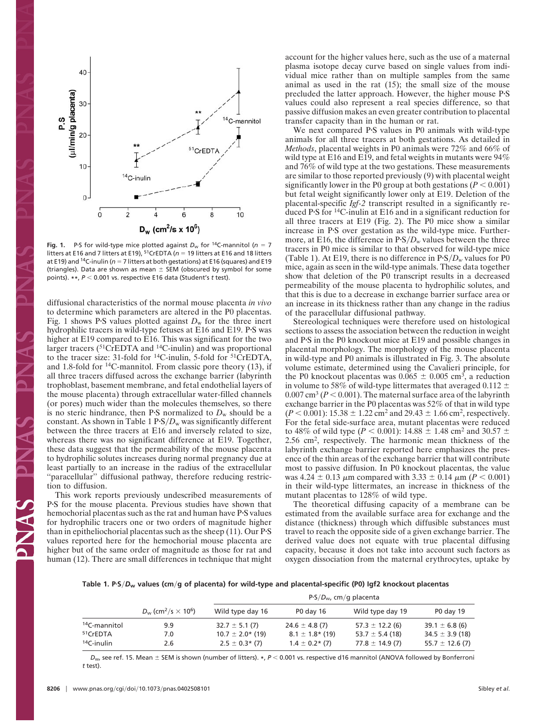

**Fig. 1.** P.S for wild-type mice plotted against  $D_w$  for <sup>14</sup>C-mannitol ( $n = 7$ litters at E16 and 7 litters at E19), <sup>51</sup>CrEDTA ( $n = 19$  litters at E16 and 18 litters at E19) and <sup>14</sup>C-inulin (n = 7 litters at both gestations) at E16 (squares) and E19 (triangles). Data are shown as mean  $\pm$  SEM (obscured by symbol for some points). **\*\***, *P* 0.001 vs. respective E16 data (Student's *t* test).

diffusional characteristics of the normal mouse placenta *in vivo* to determine which parameters are altered in the P0 placentas. Fig. 1 shows PS values plotted against  $D_w$  for the three inert hydrophilic tracers in wild-type fetuses at E16 and E19. PS was higher at E19 compared to E16. This was significant for the two larger tracers (<sup>51</sup>CrEDTA and <sup>14</sup>C-inulin) and was proportional to the tracer size: 31-fold for  $^{14}$ C-inulin, 5-fold for  $^{51}$ CrEDTA, and 1.8-fold for  $^{14}$ C-mannitol. From classic pore theory (13), if all three tracers diffused across the exchange barrier (labyrinth trophoblast, basement membrane, and fetal endothelial layers of the mouse placenta) through extracellular water-filled channels (or pores) much wider than the molecules themselves, so there is no steric hindrance, then PS normalized to  $D_w$  should be a constant. As shown in Table 1  $P-S/D_w$  was significantly different between the three tracers at E16 and inversely related to size, whereas there was no significant difference at E19. Together, these data suggest that the permeability of the mouse placenta to hydrophilic solutes increases during normal pregnancy due at least partially to an increase in the radius of the extracellular "paracellular" diffusional pathway, therefore reducing restriction to diffusion.

This work reports previously undescribed measurements of PS for the mouse placenta. Previous studies have shown that hemochorial placentas such as the rat and human have PS values for hydrophilic tracers one or two orders of magnitude higher than in epitheliochorial placentas such as the sheep  $(11)$ . Our PS values reported here for the hemochorial mouse placenta are higher but of the same order of magnitude as those for rat and human (12). There are small differences in technique that might account for the higher values here, such as the use of a maternal plasma isotope decay curve based on single values from individual mice rather than on multiple samples from the same animal as used in the rat (15); the small size of the mouse precluded the latter approach. However, the higher mouse PS values could also represent a real species difference, so that passive diffusion makes an even greater contribution to placental transfer capacity than in the human or rat.

We next compared PS values in P0 animals with wild-type animals for all three tracers at both gestations. As detailed in *Methods*, placental weights in P0 animals were 72% and 66% of wild type at E16 and E19, and fetal weights in mutants were 94% and 76% of wild type at the two gestations. These measurements are similar to those reported previously (9) with placental weight significantly lower in the P0 group at both gestations  $(P < 0.001)$ but fetal weight significantly lower only at E19. Deletion of the placental-specific *Igf-2* transcript resulted in a significantly reduced PS for 14C-inulin at E16 and in a significant reduction for all three tracers at E19 (Fig. 2). The P0 mice show a similar increase in PS over gestation as the wild-type mice. Furthermore, at E16, the difference in  $P-S/D_w$  values between the three tracers in P0 mice is similar to that observed for wild-type mice (Table 1). At E19, there is no difference in  $P-S/D_w$  values for P0 mice, again as seen in the wild-type animals. These data together show that deletion of the P0 transcript results in a decreased permeability of the mouse placenta to hydrophilic solutes, and that this is due to a decrease in exchange barrier surface area or an increase in its thickness rather than any change in the radius of the paracellular diffusional pathway.

Stereological techniques were therefore used on histological sections to assess the association between the reduction in weight and PS in the P0 knockout mice at E19 and possible changes in placental morphology. The morphology of the mouse placenta in wild-type and P0 animals is illustrated in Fig. 3. The absolute volume estimate, determined using the Cavalieri principle, for the P0 knockout placentas was  $0.065 \pm 0.005$  cm<sup>3</sup>, a reduction in volume to 58% of wild-type littermates that averaged 0.112  $\pm$  $0.007 \text{ cm}^3$  ( $P < 0.001$ ). The maternal surface area of the labyrinth exchange barrier in the P0 placentas was 52% of that in wild type  $(P < 0.001)$ : 15.38  $\pm$  1.22 cm<sup>2</sup> and 29.43  $\pm$  1.66 cm<sup>2</sup>, respectively. For the fetal side-surface area, mutant placentas were reduced to 48% of wild type ( $P < 0.001$ ): 14.88  $\pm$  1.48 cm<sup>2</sup> and 30.57  $\pm$ 2.56 cm2, respectively. The harmonic mean thickness of the labyrinth exchange barrier reported here emphasizes the presence of the thin areas of the exchange barrier that will contribute most to passive diffusion. In P0 knockout placentas, the value was 4.24  $\pm$  0.13  $\mu$ m compared with 3.33  $\pm$  0.14  $\mu$ m (*P* < 0.001) in their wild-type littermates, an increase in thickness of the mutant placentas to 128% of wild type.

The theoretical diffusing capacity of a membrane can be estimated from the available surface area for exchange and the distance (thickness) through which diffusible substances must travel to reach the opposite side of a given exchange barrier. The derived value does not equate with true placental diffusing capacity, because it does not take into account such factors as oxygen dissociation from the maternal erythrocytes, uptake by

**Table 1. PS***D***w values (cmg of placenta) for wild-type and placental-specific (P0) Igf2 knockout placentas**

|                          | $D_w$ (cm <sup>2</sup> /s $\times$ 10 <sup>6</sup> ) | $P-S/Dw$ , cm/g placenta |                      |                     |                     |
|--------------------------|------------------------------------------------------|--------------------------|----------------------|---------------------|---------------------|
|                          |                                                      | Wild type day 16         | P0 day 16            | Wild type day 19    | P0 day 19           |
| <sup>14</sup> C-mannitol | 9.9                                                  | $32.7 \pm 5.1(7)$        | $24.6 \pm 4.8$ (7)   | $57.3 \pm 12.2$ (6) | $39.1 \pm 6.8$ (6)  |
| <sup>51</sup> CrEDTA     | 7.0                                                  | $10.7 \pm 2.0$ * (19)    | $8.1 \pm 1.8$ * (19) | 53.7 $\pm$ 5.4 (18) | $34.5 \pm 3.9$ (18) |
| $14C$ -inulin            | 2.6                                                  | $2.5 \pm 0.3$ * (7)      | $1.4 \pm 0.2$ * (7)  | $77.8 \pm 14.9(7)$  | $55.7 \pm 12.6$ (7) |

*D<sub>w</sub>*, see ref. 15. Mean  $\pm$  SEM is shown (number of litters). *\**, *P* < 0.001 vs. respective d16 mannitol (ANOVA followed by Bonferroni *t* test).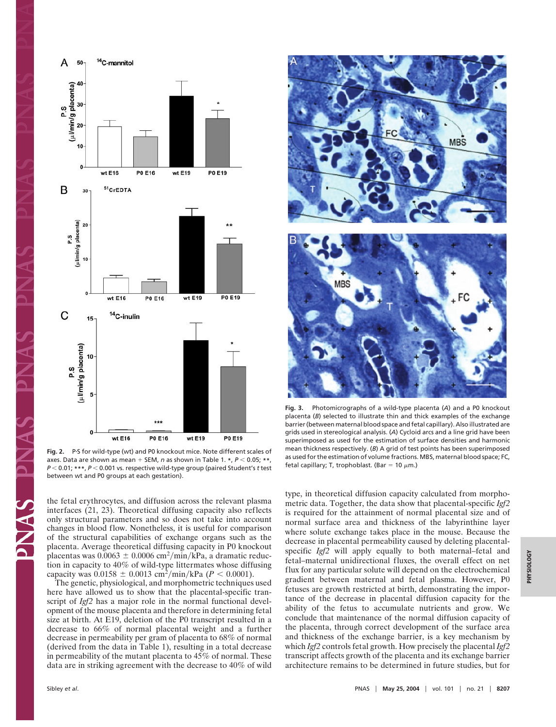

Fig. 2. P.S for wild-type (wt) and P0 knockout mice. Note different scales of axes. Data are shown as mean + SEM, *n* as shown in Table 1. \*, *P* < 0.05; \*\*, *P* 0.01; **\*\*\***, *P* 0.001 vs. respective wild-type group (paired Student's *t* test between wt and P0 groups at each gestation).

the fetal erythrocytes, and diffusion across the relevant plasma interfaces (21, 23). Theoretical diffusing capacity also reflects only structural parameters and so does not take into account changes in blood flow. Nonetheless, it is useful for comparison of the structural capabilities of exchange organs such as the placenta. Average theoretical diffusing capacity in P0 knockout placentas was  $0.0063 \pm 0.0006$  cm<sup>2</sup>/min/kPa, a dramatic reduction in capacity to 40% of wild-type littermates whose diffusing capacity was  $0.0158 \pm 0.0013$  cm<sup>2</sup>/min/kPa ( $P < 0.0001$ ).

The genetic, physiological, and morphometric techniques used here have allowed us to show that the placental-specific transcript of *Igf2* has a major role in the normal functional development of the mouse placenta and therefore in determining fetal size at birth. At E19, deletion of the P0 transcript resulted in a decrease to 66% of normal placental weight and a further decrease in permeability per gram of placenta to 68% of normal (derived from the data in Table 1), resulting in a total decrease in permeability of the mutant placenta to 45% of normal. These data are in striking agreement with the decrease to 40% of wild



**Fig. 3.** Photomicrographs of a wild-type placenta (*A*) and a P0 knockout placenta (*B*) selected to illustrate thin and thick examples of the exchange barrier (between maternal blood space and fetal capillary). Also illustrated are grids used in stereological analysis. (*A*) Cycloid arcs and a line grid have been superimposed as used for the estimation of surface densities and harmonic mean thickness respectively. (*B*) A grid of test points has been superimposed as used for the estimation of volume fractions. MBS, maternal blood space; FC, fetal capillary; T, trophoblast. (Bar = 10  $\mu$ m.)

type, in theoretical diffusion capacity calculated from morphometric data. Together, the data show that placental-specific *Igf2* is required for the attainment of normal placental size and of normal surface area and thickness of the labyrinthine layer where solute exchange takes place in the mouse. Because the decrease in placental permeability caused by deleting placentalspecific *Igf2* will apply equally to both maternal–fetal and fetal–maternal unidirectional fluxes, the overall effect on net flux for any particular solute will depend on the electrochemical gradient between maternal and fetal plasma. However, P0 fetuses are growth restricted at birth, demonstrating the importance of the decrease in placental diffusion capacity for the ability of the fetus to accumulate nutrients and grow. We conclude that maintenance of the normal diffusion capacity of the placenta, through correct development of the surface area and thickness of the exchange barrier, is a key mechanism by which *Igf2* controls fetal growth. How precisely the placental *Igf2* transcript affects growth of the placenta and its exchange barrier architecture remains to be determined in future studies, but for

ANN.